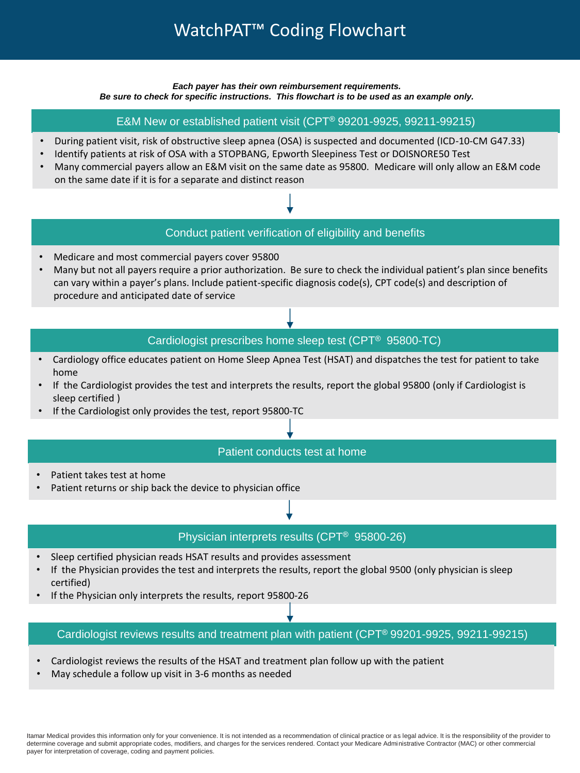# WatchPAT™ Coding Flowchart

*Each payer has their own reimbursement requirements. Be sure to check for specific instructions. This flowchart is to be used as an example only.*

E&M New or established patient visit (CPT® 99201-9925, 99211-99215)

- During patient visit, risk of obstructive sleep apnea (OSA) is suspected and documented (ICD-10-CM G47.33)
- Identify patients at risk of OSA with a STOPBANG, Epworth Sleepiness Test or DOISNORE50 Test
- Many commercial payers allow an E&M visit on the same date as 95800. Medicare will only allow an E&M code on the same date if it is for a separate and distinct reason

#### Conduct patient verification of eligibility and benefits

- Medicare and most commercial payers cover 95800
- Many but not all payers require a prior authorization. Be sure to check the individual patient's plan since benefits can vary within a payer's plans. Include patient-specific diagnosis code(s), CPT code(s) and description of procedure and anticipated date of service

### Cardiologist prescribes home sleep test (CPT® 95800-TC)

- Cardiology office educates patient on Home Sleep Apnea Test (HSAT) and dispatches the test for patient to take home
- If the Cardiologist provides the test and interprets the results, report the global 95800 (only if Cardiologist is sleep certified )
- If the Cardiologist only provides the test, report 95800-TC

#### Patient conducts test at home

- Patient takes test at home
- Patient returns or ship back the device to physician office

#### Physician interprets results (CPT® 95800-26)

- Sleep certified physician reads HSAT results and provides assessment
- If the Physician provides the test and interprets the results, report the global 9500 (only physician is sleep certified)
- If the Physician only interprets the results, report 95800-26

#### Cardiologist reviews results and treatment plan with patient (CPT® 99201-9925, 99211-99215)

- Cardiologist reviews the results of the HSAT and treatment plan follow up with the patient
- May schedule a follow up visit in 3-6 months as needed